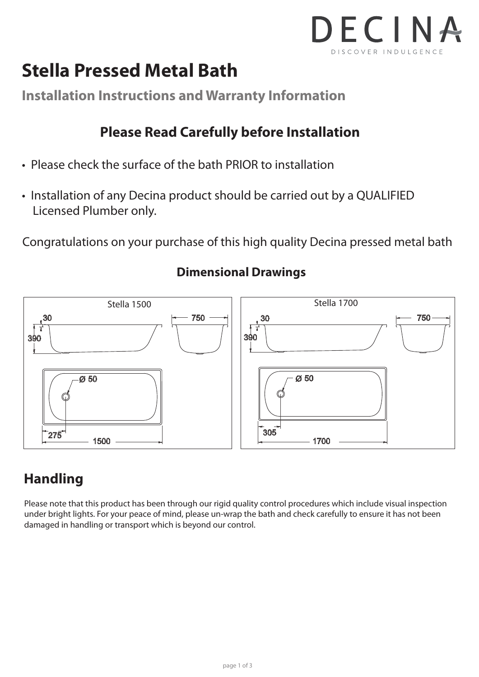

## **Stella Pressed Metal Bath**

**Installation Instructions and Warranty Information**

#### **Please Read Carefully before Installation**

- Please check the surface of the bath PRIOR to installation
- Installation of any Decina product should be carried out by a QUALIFIED Licensed Plumber only.

Congratulations on your purchase of this high quality Decina pressed metal bath



#### **Dimensional Drawings**

### **Handling**

Please note that this product has been through our rigid quality control procedures which include visual inspection under bright lights. For your peace of mind, please un-wrap the bath and check carefully to ensure it has not been damaged in handling or transport which is beyond our control.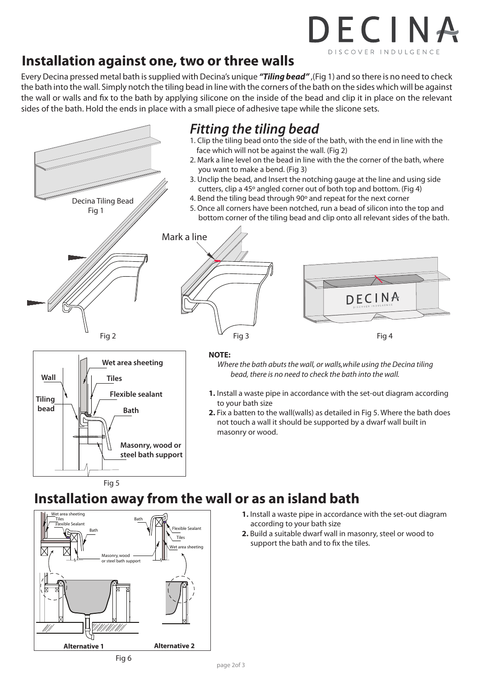# DECINA DISCOVER INDULGENCE

#### **Installation against one, two or three walls**

Every Decina pressed metal bath is supplied with Decina's unique *"Tiling bead"* ,(Fig 1) and so there is no need to check the bath into the wall. Simply notch the tiling bead in line with the corners of the bath on the sides which will be against the wall or walls and fix to the bath by applying silicone on the inside of the bead and clip it in place on the relevant sides of the bath. Hold the ends in place with a small piece of adhesive tape while the slicone sets.





- **1.** Install a waste pipe in accordance with the set-out diagram according to your bath size
- **2.** Build a suitable dwarf wall in masonry, steel or wood to support the bath and to fix the tiles.